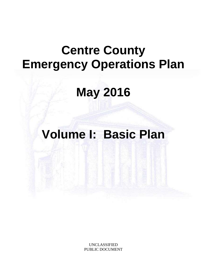# **Centre County Emergency Operations Plan**

# **May 2016**

# **Volume I: Basic Plan**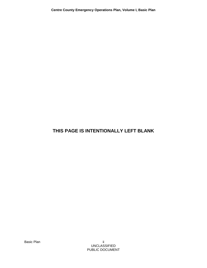# **THIS PAGE IS INTENTIONALLY LEFT BLANK**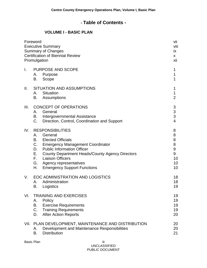## **- Table of Contents -**

## **VOLUME I - BASIC PLAN**

|      | Foreword<br><b>Executive Summary</b><br><b>Summary of Changes</b><br><b>Certification of Biennial Review</b><br>Promulgation |                                                                                                                                                                                                                                                                                                 | vii<br>viii<br>ix<br>X.<br>xii               |
|------|------------------------------------------------------------------------------------------------------------------------------|-------------------------------------------------------------------------------------------------------------------------------------------------------------------------------------------------------------------------------------------------------------------------------------------------|----------------------------------------------|
| I.   | А.<br>В.                                                                                                                     | <b>PURPOSE AND SCOPE</b><br>Purpose<br>Scope                                                                                                                                                                                                                                                    | 1<br>1<br>1                                  |
| II.  | Α.<br>В.                                                                                                                     | SITUATION AND ASSUMPTIONS<br>Situation<br>Assumptions                                                                                                                                                                                                                                           | 1<br>1<br>$\overline{2}$                     |
| III. | А.<br>В.<br>C.                                                                                                               | <b>CONCEPT OF OPERATIONS</b><br>General<br>Intergovernmental Assistance<br>Direction, Control, Coordination and Support                                                                                                                                                                         | 3<br>$\frac{3}{3}$<br>$\overline{4}$         |
| IV.  | А.<br>В.<br>D.<br>Е.<br>F.<br>G.<br>Η.                                                                                       | <b>RESPONSIBILITIES</b><br>General<br><b>Elected Officials</b><br>C. Emergency Management Coordinator<br><b>Public Information Officer</b><br><b>County Department Heads/County Agency Directors</b><br><b>Liaison Officers</b><br>Agency representatives<br><b>Emergency Support Functions</b> | 8<br>8<br>8<br>8<br>9<br>9<br>10<br>10<br>10 |
| V.   | Α.<br>В.                                                                                                                     | <b>EOC ADMINISTRATION AND LOGISTICS</b><br>Administration<br>Logistics                                                                                                                                                                                                                          | 18<br>18<br>19                               |
| VI.  | А.<br>В.<br>C.<br>D.                                                                                                         | <b>TRAINING AND EXERCISES</b><br>Policy<br><b>Exercise Requirements</b><br><b>Training Requirements</b><br><b>After Action Reports</b>                                                                                                                                                          | 19<br>19<br>19<br>19<br>20                   |
|      | А.<br>В.                                                                                                                     | VII. PLAN DEVELOPMENT, MAINTENANCE AND DISTRIBUTION<br>Development and Maintenance Responsibilities<br><b>Distribution</b>                                                                                                                                                                      | 20<br>20<br>21                               |

Basic Plan iii UNCLASSIFIED PUBLIC DOCUMENT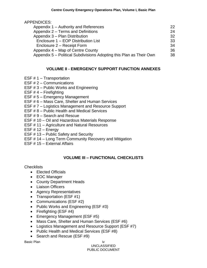## APPENDICES:

| Appendix 1 – Authority and References                               | 22. |
|---------------------------------------------------------------------|-----|
| Appendix 2 - Terms and Definitions                                  | 24  |
| Appendix 3 - Plan Distribution                                      | 32  |
| Enclosure 1 - EOP Distribution List                                 | 33  |
| Enclosure 2 – Receipt Form                                          | 34  |
| Appendix 4 – Map of Centre County                                   | 36. |
| Appendix 5 – Political Subdivisions Adopting this Plan as Their Own | 38. |

## **VOLUME II - EMERGENCY SUPPORT FUNCTION ANNEXES**

- ESF # 1 Transportation
- ESF # 2 Communications
- ESF # 3 Public Works and Engineering
- ESF  $#$  4 Firefighting
- ESF # 5 Emergency Management
- ESF # 6 Mass Care, Shelter and Human Services
- ESF # 7 Logistics Management and Resource Support
- ESF # 8 Public Health and Medical Services
- ESF # 9 Search and Rescue
- ESF # 10 Oil and Hazardous Materials Response
- ESF # 11 Agriculture and Natural Resources
- ESF  $# 12 -$  Energy
- ESF # 13 Public Safety and Security
- ESF # 14 Long Term Community Recovery and Mitigation
- ESF # 15 External Affairs

## **VOLUME III – FUNCTIONAL CHECKLISTS**

## **Checklists**

- Elected Officials
- EOC Manager
- County Department Heads
- Liaison Officers
- Agency Representatives
- Transportation (ESF #1)
- Communications (ESF #2)
- Public Works and Engineering (ESF #3)
- Firefighting (ESF #4)
- Emergency Management (ESF #5)
- Mass Care, Shelter and Human Services (ESF #6)
- Logistics Management and Resource Support (ESF #7)
- Public Health and Medical Services (ESF #8)
- Search and Rescue (ESF #9)

Basic Plan iversity and the set of the set of the set of the set of the set of the set of the set of the set of the set of the set of the set of the set of the set of the set of the set of the set of the set of the set of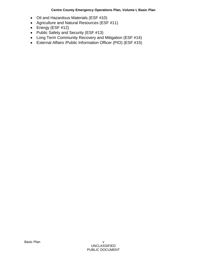#### **Centre County Emergency Operations Plan, Volume I, Basic Plan**

- Oil and Hazardous Materials (ESF #10)
- Agriculture and Natural Resources (ESF #11)
- Energy (ESF #12)
- Public Safety and Security (ESF #13)
- Long Term Community Recovery and Mitigation (ESF #14)
- External Affairs /Public Information Officer (PIO) (ESF #15)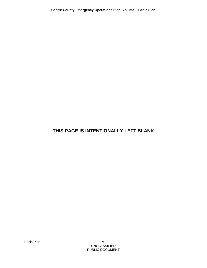# **THIS PAGE IS INTENTIONALLY LEFT BLANK**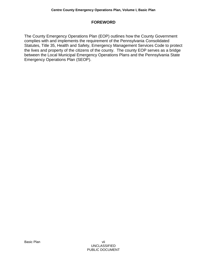## **FOREWORD**

The County Emergency Operations Plan (EOP) outlines how the County Government complies with and implements the requirement of the Pennsylvania Consolidated Statutes, Title 35, Health and Safety, Emergency Management Services Code to protect the lives and property of the citizens of the county. The county EOP serves as a bridge between the Local Municipal Emergency Operations Plans and the Pennsylvania State Emergency Operations Plan (SEOP).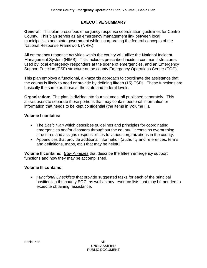## **EXECUTIVE SUMMARY**

**General**: This plan prescribes emergency response coordination guidelines for Centre County. This plan serves as an emergency management link between local municipalities and state government while incorporating the federal concepts of the National Response Framework (NRF.)

All emergency response activities within the county will utilize the National Incident Management System (NIMS). This includes prescribed incident command structures used by local emergency responders at the scene of emergencies, and an Emergency Support Function (ESF) structure at the county Emergency Operations Center (EOC).

This plan employs a functional, all-hazards approach to coordinate the assistance that the county is likely to need or provide by defining fifteen (15) ESFs. These functions are basically the same as those at the state and federal levels.

**Organization:** The plan is divided into four volumes, all published separately. This allows users to separate those portions that may contain personal information or information that needs to be kept confidential (the items in Volume III).

#### **Volume I contains:**

- The *Basic Plan* which describes guidelines and principles for coordinating emergencies and/or disasters throughout the county. It contains overarching structures and assigns responsibilities to various organizations in the county.
- Appendices that provide additional information (authority and references, terms and definitions, maps, etc.) that may be helpful.

**Volume II contains:** *ESF Annexes* that describe the fifteen emergency support functions and how they may be accomplished.

## **Volume III contains:**

 *Functional Checklists* that provide suggested tasks for each of the principal positions in the county EOC, as well as any resource lists that may be needed to expedite obtaining assistance.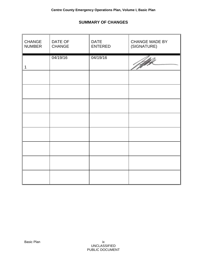## **SUMMARY OF CHANGES**

| <b>CHANGE</b><br><b>NUMBER</b> | DATE OF<br><b>CHANGE</b> | <b>DATE</b><br><b>ENTERED</b> | <b>CHANGE MADE BY</b><br>(SIGNATURE) |
|--------------------------------|--------------------------|-------------------------------|--------------------------------------|
| $\mathbf{1}$                   | 04/19/16                 | 04/19/16                      |                                      |
|                                |                          |                               |                                      |
|                                |                          |                               |                                      |
|                                |                          |                               |                                      |
|                                |                          |                               |                                      |
|                                |                          |                               |                                      |
|                                |                          |                               |                                      |
|                                |                          |                               |                                      |
|                                |                          |                               |                                      |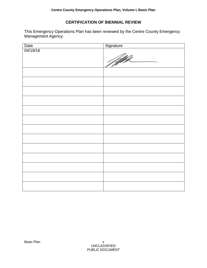## **CERTIFICATION OF BIENNIAL REVIEW**

This Emergency Operations Plan has been reviewed by the Centre County Emergency Management Agency.

| Date     | Signature |
|----------|-----------|
| 04/19/16 | WHA       |
|          |           |
|          |           |
|          |           |
|          |           |
|          |           |
|          |           |
|          |           |
|          |           |
|          |           |
|          |           |
|          |           |
|          |           |
|          |           |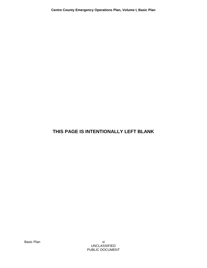## **THIS PAGE IS INTENTIONALLY LEFT BLANK**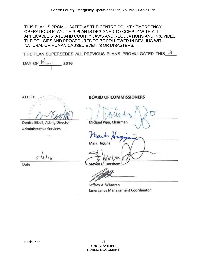THIS PLAN IS PROMULGATED AS THE CENTRE COUNTY EMERGENCY OPERATIONS PLAN. THIS PLAN IS DESIGNED TO COMPLY WITH ALL APPLICABLE STATE AND COUNTY LAWS AND REGULATIONS AND PROVIDES THE POLICIES AND PROCEDURES TO BE FOLLOWED IN DEALING WITH NATURAL OR HUMAN CAUSED EVENTS OR DISASTERS.

THIS PLAN SUPERSEDES ALL PREVIOUS PLANS. PROMULGATED THIS 3

DAY OF  $\frac{N}{\alpha}$  2016

ATTEST:

Denise Elbell, Acting Director **Administrative Services** 

## **BOARD OF COMMISSIONERS**

Michael Pipe, Chairman

**Mark Higgins** 

 $5/3/16$ 

Date

en G. Dersher

Jeffrey A. Wharran **Emergency Management Coordinator**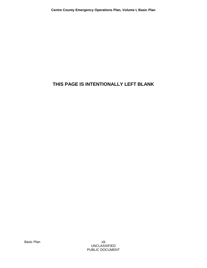## **THIS PAGE IS INTENTIONALLY LEFT BLANK**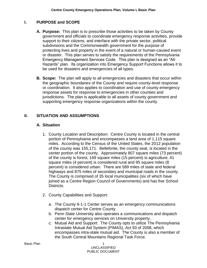## **I. PURPOSE and SCOPE**

- **A. Purpose:** This plan is to prescribe those activities to be taken by County government and officials to coordinate emergency response activities, provide support to their citizens, and interface with the private sector, political subdivisions and the Commonwealth government for the purpose of protecting lives and property in the event of a natural or human-caused event or disaster. This plan serves to satisfy the requirements of the Pennsylvania Emergency Management Services Code. This plan is designed as an "All-Hazards" plan. Its organization into Emergency Support Functions allows it to be used for disasters and emergencies of all types.
- **B. Scope:** The plan will apply to all emergencies and disasters that occur within the geographic boundaries of the County and require county-level response or coordination. It also applies to coordination and use of county emergency response assets for response to emergencies in other counties and jurisdictions. The plan is applicable to all assets of county government and supporting emergency response organizations within the county.

## **II. SITUATION AND ASSUMPTIONS**

#### **A. Situation**

- 1. County Location and Description: Centre County is located in the central portion of Pennsylvania and encompasses a land area of 1,115 square miles. According to the Census of the United States, the 2012 population of the county was 155,171. Bellefonte, the county seat, is located in the center portion of the county. Approximately 807 square miles (73 percent) of the county is forest, 169 square miles (15 percent) is agriculture, 41 square miles (4 percent) is considered rural and 95 square miles (8 percent) is considered urban. There are 589 miles of state and federal highways and 875 miles of secondary and municipal roads in the county. The County is comprised of 35 local municipalities (six of which have joined as a Centre Region Council of Governments) and has five School Districts.
- 2. County Capabilities and Support:
	- a. The County 9-1-1 Center serves as an emergency communications dispatch center for Centre County.
	- b. Penn State University also operates a communications and dispatch center for emergency services on University property..
	- c. Mutual Aid and Support: The County opts to utilize The Pennsylvania Intrastate Mutual Aid System (PIMAS), Act 93 of 2008, which encompasses intra-state mutual aid. The County is also a member of the South Central Mountains Regional Task Force.

Basic Plan 1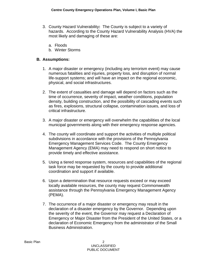- 3. County Hazard Vulnerability**:** The County is subject to a variety of hazards. According to the County Hazard Vulnerability Analysis (HVA) the most likely and damaging of these are:
	- a. Floods
	- b. Winter Storms

## **B. Assumptions:**

- 1. A major disaster or emergency (including any terrorism event) may cause numerous fatalities and injuries, property loss, and disruption of normal life-support systems; and will have an impact on the regional economic, physical, and social infrastructures.
- 2. The extent of casualties and damage will depend on factors such as the time of occurrence, severity of impact, weather conditions, population density, building construction, and the possibility of cascading events such as fires, explosions, structural collapse, contamination issues, and loss of critical infrastructure.
- 3. A major disaster or emergency will overwhelm the capabilities of the local municipal governments along with their emergency response agencies.
- 4. The county will coordinate and support the activities of multiple political subdivisions in accordance with the provisions of the Pennsylvania Emergency Management Services Code. The County Emergency Management Agency (EMA) may need to respond on short notice to provide timely and effective assistance.
- 5. Using a tiered response system, resources and capabilities of the regional task force may be requested by the county to provide additional coordination and support if available.
- 6. Upon a determination that resource requests exceed or may exceed locally available resources, the county may request Commonwealth assistance through the Pennsylvania Emergency Management Agency (PEMA).
- 7. The occurrence of a major disaster or emergency may result in the declaration of a disaster emergency by the Governor. Depending upon the severity of the event, the Governor may request a Declaration of Emergency or Major Disaster from the President of the United States, or a declaration of Economic Emergency from the administrator of the Small Business Administration.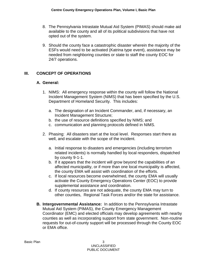- 8. The Pennsylvania Intrastate Mutual Aid System (PIMAS) should make aid available to the county and all of its political subdivisions that have not opted out of the system.
- 9. Should the county face a catastrophic disaster wherein the majority of the ESFs would need to be activated (Katrina type event), assistance may be needed from neighboring counties or state to staff the county EOC for 24/7 operations.

## **III. CONCEPT OF OPERATIONS**

#### **A. General:**

- 1. NIMS: All emergency response within the county will follow the National Incident Management System (NIMS) that has been specified by the U.S. Department of Homeland Security. This includes:
	- a. The designation of an Incident Commander, and, if necessary, an Incident Management Structure;
	- b. the use of resource definitions specified by NIMS; and
	- c. communication and planning protocols defined in NIMS.
- 2. Phasing: All disasters start at the local level. Responses start there as well, and escalate with the scope of the incident.
	- a. Initial response to disasters and emergencies (including terrorism related incidents) is normally handled by local responders, dispatched by county 9-1-1.
	- b. If it appears that the incident will grow beyond the capabilities of an affected municipality, or if more than one local municipality is affected, the county EMA will assist with coordination of the efforts.
	- c. If local resources become overwhelmed, the county EMA will usually activate the County Emergency Operations Center (EOC) to provide supplemental assistance and coordination.
	- d. If county resources are not adequate, the county EMA may turn to other counties, Regional Task Forces and/or the state for assistance.
- **B. Intergovernmental Assistance:** In addition to the Pennsylvania Intrastate Mutual Aid System (PIMAS), the County Emergency Management Coordinator (EMC) and elected officials may develop agreements with nearby counties as well as incorporating support from state government. Non-routine requests for out-of-county support will be processed through the County EOC or EMA office.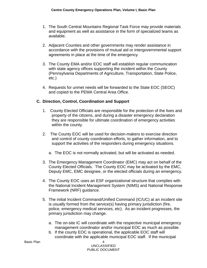- 1. The South Central Mountains Regional Task Force may provide materials and equipment as well as assistance in the form of specialized teams as available.
- 2. Adjacent Counties and other governments may render assistance in accordance with the provisions of mutual aid or intergovernmental support agreements in place at the time of the emergency.
- 3. The County EMA and/or EOC staff will establish regular communication with state agency offices supporting the incident within the County (Pennsylvania Departments of Agriculture, Transportation, State Police, etc.)
- 4. Requests for unmet needs will be forwarded to the State EOC (SEOC) and copied to the PEMA Central Area Office.

#### **C. Direction, Control, Coordination and Support**

- 1. County Elected Officials are responsible for the protection of the lives and property of the citizens, and during a disaster emergency declaration they are responsible for ultimate coordination of emergency activities within the county.
- 2. The County EOC will be used for decision-makers to exercise direction and control of county coordination efforts, to gather information, and to support the activities of the responders during emergency situations.
	- a. The EOC is not normally activated, but will be activated as needed.
- 3. The Emergency Management Coordinator (EMC) may act on behalf of the County Elected Officials. The County EOC may be activated by the EMC, Deputy EMC, EMC designee, or the elected officials during an emergency.
- 4. The County EOC uses an ESF organizational structure that complies with the National Incident Management System (NIMS) and National Response Framework (NRF) guidance.
- 5. The initial Incident Command/Unified Command (IC/UC) at an incident site is usually formed from the service(s) having primary jurisdiction (fire, police, emergency medical services, etc). As an incident progresses, the primary jurisdiction may change.
	- a. The on-site IC will coordinate with the respective municipal emergency management coordinator and/or municipal EOC as much as possible.
	- b. If the county EOC is operational, the applicable EOC staff will coordinate with the applicable municipal EOC staff. If the municipal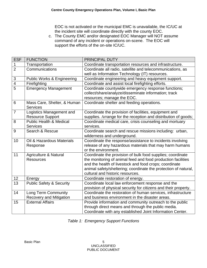EOC is not activated or the municipal EMC is unavailable, the IC/UC at the incident site will coordinate directly with the county EOC.

c. The County EMC and/or designated EOC Manager will NOT assume command of any incident or operations on-scene. The EOC will support the efforts of the on-site IC/UC.

| <b>ESF</b>                | <b>FUNCTION</b>                       | PRINCIPAL DUTY                                                                                                                  |
|---------------------------|---------------------------------------|---------------------------------------------------------------------------------------------------------------------------------|
| 1                         | Transportation                        | Coordinate transportation resources and infrastructure.                                                                         |
| $\overline{2}$            | Communications                        | Coordinate all radio, satellite and telecommunications, as                                                                      |
|                           |                                       | well as Information Technology (IT) resources.                                                                                  |
| $\ensuremath{\mathsf{3}}$ | <b>Public Works &amp; Engineering</b> | Coordinate engineering and heavy equipment support.                                                                             |
| $\overline{4}$            | Firefighting                          | Coordinate and assist local firefighting efforts.                                                                               |
| 5                         | <b>Emergency Management</b>           | Coordinate countywide emergency response functions;                                                                             |
|                           |                                       | collect/share/analyze/disseminate information; track                                                                            |
|                           |                                       | resources; manage the EOC.                                                                                                      |
| 6                         | Mass Care, Shelter, & Human           | Coordinate shelter and feeding operations.                                                                                      |
|                           | <b>Services</b>                       |                                                                                                                                 |
| $\overline{7}$            | Logistics Management and              | Coordinate the provision of facilities, equipment and                                                                           |
|                           | <b>Resource Support</b>               | supplies. Arrange for the reception and distribution of goods;                                                                  |
| 8                         | <b>Public Health &amp; Medical</b>    | Coordinate medical care, crisis counseling and mortuary                                                                         |
|                           | <b>Services</b>                       | services.                                                                                                                       |
| 9                         | Search & Rescue                       | Coordinate search and rescue missions including: urban,                                                                         |
|                           |                                       | wilderness and underground.                                                                                                     |
| 10                        | Oil & Hazardous Materials             | Coordinate the response/assistance to incidents involving                                                                       |
|                           | Response                              | release of any hazardous materials that may harm humans                                                                         |
|                           |                                       | or the environment.                                                                                                             |
| 11                        | <b>Agriculture &amp; Natural</b>      | Coordinate the provision of bulk food supplies; coordinate                                                                      |
|                           | <b>Resources</b>                      | the monitoring of animal feed and food production facilities                                                                    |
|                           |                                       | and the health of livestock and food crops; coordinate                                                                          |
|                           |                                       | animal safety/sheltering; coordinate the protection of natural,<br>cultural and historic resources.                             |
| 12                        |                                       |                                                                                                                                 |
| 13                        | Energy                                | Coordinate restoration of energy.                                                                                               |
|                           | <b>Public Safety &amp; Security</b>   | Coordinate local law enforcement response and the                                                                               |
| 14                        | <b>Long Term Community</b>            | provision of physical security for citizens and their property.<br>Coordinate the restoration of human services, infrastructure |
|                           | <b>Recovery and Mitigation</b>        | and business environment in the disaster areas.                                                                                 |
| 15                        | <b>External Affairs</b>               |                                                                                                                                 |
|                           |                                       | Provide information and community outreach to the public<br>through direct means and through the public media.                  |
|                           |                                       |                                                                                                                                 |
|                           |                                       | Coordinate with any established Joint Information Center.                                                                       |

*Table 1: Emergency Support Functions*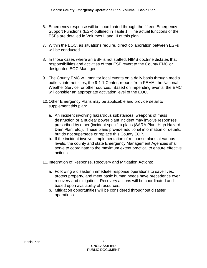- 6. Emergency response will be coordinated through the fifteen Emergency Support Functions (ESF) outlined in Table 1. The actual functions of the ESFs are detailed in Volumes II and III of this plan.
- 7. Within the EOC, as situations require, direct collaboration between ESFs will be conducted.
- 8. In those cases where an ESF is not staffed, NIMS doctrine dictates that responsibilities and activities of that ESF revert to the County EMC or designated EOC Manager.
- 9. The County EMC will monitor local events on a daily basis through media outlets, internet sites, the 9-1-1 Center, reports from PEMA, the National Weather Service, or other sources. Based on impending events, the EMC will consider an appropriate activation level of the EOC.
- 10.Other Emergency Plans may be applicable and provide detail to supplement this plan:
	- a. An incident involving hazardous substances, weapons of mass destruction or a nuclear power plant incident may involve responses prescribed by other (incident specific) plans (SARA Plan, High Hazard Dam Plan, etc.). These plans provide additional information or details, but do not supersede or replace this County EOP.
	- b. If the incident involves implementation of response plans at various levels, the county and state Emergency Management Agencies shall serve to coordinate to the maximum extent practical to ensure effective actions.

11.Integration of Response, Recovery and Mitigation Actions:

- a. Following a disaster, immediate response operations to save lives, protect property, and meet basic human needs have precedence over recovery and mitigation. Recovery actions will be coordinated and based upon availability of resources.
- b. Mitigation opportunities will be considered throughout disaster operations.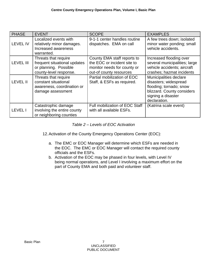| <b>PHASE</b>     | <b>EVENT</b>                                                                                            | <b>SCOPE</b>                                                                                                         | <b>EXAMPLES</b>                                                                                                                                |
|------------------|---------------------------------------------------------------------------------------------------------|----------------------------------------------------------------------------------------------------------------------|------------------------------------------------------------------------------------------------------------------------------------------------|
| <b>LEVEL IV</b>  | Localized events with<br>relatively minor damages.<br>Increased awareness<br>warranted.                 | 9-1-1 center handles routine<br>dispatches. EMA on call                                                              | A few trees down; isolated<br>minor water ponding; small<br>vehicle accidents.                                                                 |
| <b>LEVEL III</b> | Threats that require<br>frequent situational updates<br>or planning. Possible<br>county-level response. | County EMA staff reports to<br>the EOC or incident site to<br>monitor needs for county or<br>out-of county resources | Increased flooding over<br>several municipalities; large<br>vehicle accidents; aircraft<br>crashes; hazmat incidents                           |
| <b>LEVEL II</b>  | Threats that require<br>constant situational<br>awareness, coordination or<br>damage assessment         | Partial mobilization of EOC<br>Staff, & ESFs as required.                                                            | Municipalities declare<br>disasters; widespread<br>flooding; tornado; snow<br>blizzard. County considers<br>signing a disaster<br>declaration. |
| <b>LEVEL I</b>   | Catastrophic damage<br>involving the entire county<br>or neighboring counties                           | Full mobilization of EOC Staff<br>with all available ESFs.                                                           | (Katrina scale event)                                                                                                                          |

*Table 2 – Levels of EOC Activation*

12.Activation of the County Emergency Operations Center (EOC):

- a. The EMC or EOC Manager will determine which ESFs are needed in the EOC. The EMC or EOC Manager will contact the required county officials and the ESFs.
- b. Activation of the EOC may be phased in four levels, with Level IV being normal operations, and Level I involving a maximum effort on the part of County EMA and both paid and volunteer staff.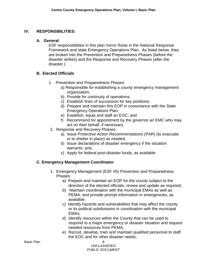## **IV. RESPONSIBILITIES:**

#### **A. General**

ESF responsibilities in this plan mirror those in the National Response Framework and state Emergency Operations Plan. As listed below, they are broken into the Prevention and Preparedness Phases (before the disaster strikes) and the Response and Recovery Phases (after the disaster.)

## **B. Elected Officials**

- 1. .Prevention and Preparedness Phases:
	- a) Responsible for establishing a county emergency management organization;
	- b) Provide for continuity of operations;
	- c) Establish lines of succession for key positions;
	- d) Prepare and maintain this EOP in consonance with the State Emergency Operations Plan;
	- e) Establish, equip and staff an EOC; and
	- f) Recommend for appointment by the governor an EMC who may act on their behalf, if necessary.
- 2. Response and Recovery Phases:
	- a) Issue Protective Action Recommendations (PAR) (to evacuate or to shelter in place) as needed.
	- b) Issue declarations of disaster emergency if the situation warrants; and,
	- c) Apply for federal post-disaster funds, as available.

## **C. Emergency Management Coordinator**

- 1. Emergency Management (ESF #5) Prevention and Preparedness Phases:
	- a) Prepare and maintain an EOP for the county subject to the direction of the elected officials, review and update as required;
	- b) Maintain coordination with the municipal EMAs as well as PEMA, and provide prompt information in emergencies, as available;
	- c) Identify hazards and vulnerabilities that may affect the county or its political subdivisions in coordination with the municipal EMAs;
	- d) Identify resources within the County that can be used to respond to a major emergency or disaster situation and request needed resources from PEMA;
	- e) Recruit, develop, train and maintain qualified personnel to staff the EOC and for other disaster needs;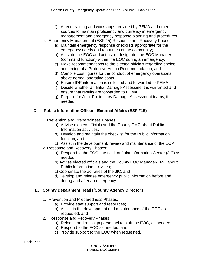- f) Attend training and workshops provided by PEMA and other sources to maintain proficiency and currency in emergency management and emergency response planning and procedures.
- c. Emergency Management (ESF #5) Response and Recovery Phases:
	- a) Maintain emergency response checklists appropriate for the emergency needs and resources of the community;
	- b) Activate the EOC and act as, or designate, the EOC Manager (command function) within the EOC during an emergency;
	- c) Make recommendations to the elected officials regarding choice and timing of a Protective Action Recommendation; and
	- d) Compile cost figures for the conduct of emergency operations above normal operating costs.
	- e) Ensure IDR information is collected and forwarded to PEMA.
	- f) Decide whether an Initial Damage Assessment is warranted and ensure that results are forwarded to PEMA.
	- g) Prepare for Joint Preliminary Damage Assessment teams, if needed. i.

## **D. Public Information Officer - External Affairs (ESF #15)**

- 1. Prevention and Preparedness Phases:
	- a) Advise elected officials and the County EMC about Public Information activities;
	- b) Develop and maintain the checklist for the Public Information function; and
	- c) Assist in the development, review and maintenance of the EOP.
- 2. Response and Recovery Phases:
	- a) Respond to the EOC, the field, or Joint Information Center (JIC) as needed;
	- b) Advise elected officials and the County EOC Manager/EMC about Public Information activities;
	- c) Coordinate the activities of the JIC; and
	- d) Develop and release emergency public information before and during and after an emergency.

## **E. County Department Heads/County Agency Directors**

- 1. Prevention and Preparedness Phases:
	- a) Provide staff support and resources;
	- b) Assist in the development and maintenance of the EOP as requested; and
- 2. Response and Recovery Phases:
	- a) Release and reassign personnel to staff the EOC, as needed;
	- b) Respond to the EOC as needed; and
	- c) Provide support to the EOC when requested.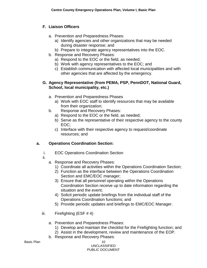## **F. Liaison Officers**

- a. Prevention and Preparedness Phases:
	- a) Identify agencies and other organizations that may be needed during disaster response; and
	- b) Prepare to integrate agency representatives into the EOC.
- b. Response and Recovery Phases:
	- a) Respond to the EOC or the field, as needed;
	- b) Work with agency representatives to the EOC; and
	- c) Establish communication with affected local municipalities and with other agencies that are affected by the emergency.

## **G. Agency Representative (from PEMA, PSP, PennDOT, National Guard, School, local municipality, etc.)**

- a. Prevention and Preparedness Phases
	- a) Work with EOC staff to identify resources that may be available from their organization;
- b. Response and Recovery Phases:
	- a) Respond to the EOC or the field, as needed;
		- b) Serve as the representative of their respective agency to the county EOC;
		- c) Interface with their respective agency to request/coordinate resources; and

## **a. Operations Coordination Section:**

- i. EOC Operations Coordination Section
- ii.
- a. Response and Recovery Phases:
	- 1) Coordinate all activities within the Operations Coordination Section;
	- 2) Function as the interface between the Operations Coordination Section and EMC/EOC manager;
	- 3) Ensure that all personnel operating within the Operations Coordination Section receive up to date information regarding the situation and the event;
	- 4) Solicit periodic update briefings from the individual staff of the Operations Coordination functions; and
	- 5) Provide periodic updates and briefings to EMC/EOC Manager.
- iii. Firefighting (ESF  $\#$  4)
	- a. Prevention and Preparedness Phases:
		- 1) Develop and maintain the checklist for the Firefighting function; and
		- 2) Assist in the development, review and maintenance of the EOP.
	- b. Response and Recovery Phases: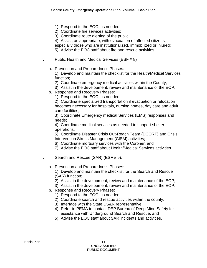- 1) Respond to the EOC, as needed;
- 2) Coordinate fire services activities;
- 3) Coordinate route alerting of the public;
- 4) Assist, as appropriate, with evacuation of affected citizens,
- especially those who are institutionalized, immobilized or injured;
- 5) Advise the EOC staff about fire and rescue activities.
- iv. Public Health and Medical Services (ESF # 8)
	- a. Prevention and Preparedness Phases:

1) Develop and maintain the checklist for the Health/Medical Services function;

- 2) Coordinate emergency medical activities within the County;
- 3) Assist in the development, review and maintenance of the EOP.
- b. Response and Recovery Phases:
	- 1) Respond to the EOC, as needed;

2) Coordinate specialized transportation if evacuation or relocation becomes necessary for hospitals, nursing homes, day care and adult care facilities;

3) Coordinate Emergency medical Services (EMS) responses and needs;

4) Coordinate medical services as needed to support shelter operations;

5) Coordinate Disaster Crisis Out-Reach Team (DCORT) and Crisis Intervention Stress Management (CISM) activities;

- 6) Coordinate mortuary services with the Coroner, and
- 7) Advise the EOC staff about Health/Medical Services activities.
- v. Search and Rescue (SAR) (ESF # 9):
	- a. Prevention and Preparedness Phases:

1) Develop and maintain the checklist for the Search and Rescue (SAR) function;

- 2) Assist in the development, review and maintenance of the EOP;
- 3) Assist in the development, review and maintenance of the EOP.
- b. Response and Recovery Phases:
	- 1) Respond to the EOC, as needed;
	- 2) Coordinate search and rescue activities within the county;
	- 3) Interface with the State US&R representative;
	- 4) Refer to PEMA to contact DEP Bureau of Deep Mine Safety for assistance with Underground Search and Rescue; and
	- 5) Advise the EOC staff about SAR incidents and activities.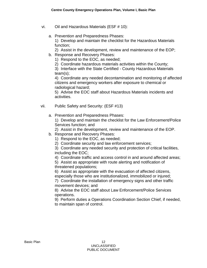- vi. Oil and Hazardous Materials (ESF # 10):
	- a. Prevention and Preparedness Phases:

1) Develop and maintain the checklist for the Hazardous Materials function;

2) Assist in the development, review and maintenance of the EOP;

- b. Response and Recovery Phases:
	- 1) Respond to the EOC, as needed;
	- 2) Coordinate hazardous materials activities within the County;

3) Interface with the State Certified - County Hazardous Materials team(s);

4) Coordinate any needed decontamination and monitoring of affected citizens and emergency workers after exposure to chemical or radiological hazard;

5) Advise the EOC staff about Hazardous Materials incidents and activities.

- vii. Public Safety and Security: (ESF #13)
	- a. Prevention and Preparedness Phases:

1) Develop and maintain the checklist for the Law Enforcement/Police Services function; and

2) Assist in the development, review and maintenance of the EOP.

- b. Response and Recovery Phases:
	- 1) Respond to the EOC, as needed;
	- 2) Coordinate security and law enforcement services;

3) Coordinate any needed security and protection of critical facilities, including the EOC;

4) Coordinate traffic and access control in and around affected areas;

5) Assist as appropriate with route alerting and notification of threatened populations;

6) Assist as appropriate with the evacuation of affected citizens, especially those who are institutionalized, immobilized or injured;

7) Coordinate the installation of emergency signs and other traffic movement devices; and

8) Advise the EOC staff about Law Enforcement/Police Services operations.

9) Perform duties a Operations Coordination Section Chief, if needed, to maintain span of control.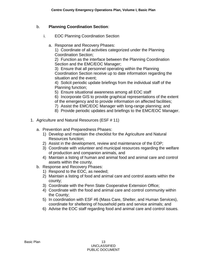## b. **Planning Coordination Section**:

- i. EOC Planning Coordination Section
	- a. Response and Recovery Phases:

1) Coordinate of all activities categorized under the Planning Coordination Section;

2) Function as the interface between the Planning Coordination Section and the EMC/EOC Manager;

3) Ensure that all personnel operating within the Planning Coordination Section receive up to date information regarding the situation and the event;

4) Solicit periodic update briefings from the individual staff of the Planning function;

- 5) Ensure situational awareness among all EOC staff
- 6) Incorporate GIS to provide graphical representations of the extent
- of the emergency and to provide information on affected facilities;
- 7) Assist the EMC/EOC Manager with long-range planning; and
- 8) Provide periodic updates and briefings to the EMC/EOC Manager.
- 1. Agriculture and Natural Resources (ESF # 11)
	- a. Prevention and Preparedness Phases:
		- 1) Develop and maintain the checklist for the Agriculture and Natural Resources function;
		- 2) Assist in the development, review and maintenance of the EOP;
		- 3) Coordinate with volunteer and municipal resources regarding the welfare of production and companion animals, and
		- 4) Maintain a listing of human and animal food and animal care and control assets within the county.
	- b. Response and Recovery Phases:
		- 1) Respond to the EOC, as needed;
		- 2) Maintain a listing of food and animal care and control assets within the county;
		- 3) Coordinate with the Penn State Cooperative Extension Office;
		- 4) Coordinate with the food and animal care and control community within the County;
		- 5) In coordination with ESF #6 (Mass Care, Shelter, and Human Services), coordinate for sheltering of household pets and service animals; and
		- 6) Advise the EOC staff regarding food and animal care and control issues.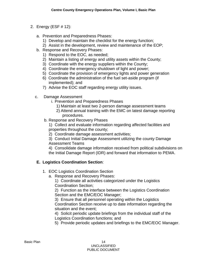- 2. Energy (ESF # 12):
	- a. Prevention and Preparedness Phases:
		- 1) Develop and maintain the checklist for the energy function;
		- 2) Assist in the development, review and maintenance of the EOP;
	- b. Response and Recovery Phases:
		- 1) Respond to the EOC, as needed;
		- 2) Maintain a listing of energy and utility assets within the County;
		- 3) Coordinate with the energy suppliers within the County;
		- 4) Coordinate the emergency shutdown of light and power;
		- 5) Coordinate the provision of emergency lights and power generation
		- 6) Coordinate the administration of the fuel set-aside program (if implemented); and
		- 7) Advise the EOC staff regarding energy utility issues.
	- c. Damage Assessment
		- i. Prevention and Preparedness Phases
			- 1) Maintain at least two 2-person damage assessment teams
			- 2) Attend annual training with the EMC on latest damage reporting procedures.
		- b. Response and Recovery Phases

1) Collect and evaluate information regarding affected facilities and properties throughout the county;

2) Coordinate damage assessment activities;

3) Conduct Initial Damage Assessment utilizing the county Damage Assessment Teams

4) Consolidate damage information received from political subdivisions on the Initial Damage Report (IDR) and forward that information to PEMA.

## **E. Logistics Coordination Section**:

- 1. EOC Logistics Coordination Section
	- a. Response and Recovery Phases:

1) Coordinate all activities categorized under the Logistics Coordination Section;

2) Function as the interface between the Logistics Coordination Section and the EMC/EOC Manager;

3) Ensure that all personnel operating within the Logistics Coordination Section receive up to date information regarding the situation and the event;

4) Solicit periodic update briefings from the individual staff of the Logistics Coordination functions; and

5) Provide periodic updates and briefings to the EMC/EOC Manager.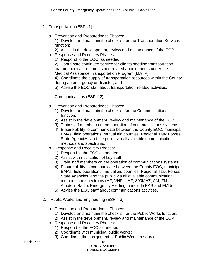- 2. Transportation (ESF #1)
	- a. Prevention and Preparedness Phases:

1) Develop and maintain the checklist for the Transportation Services function;

2) Assist in the development, review and maintenance of the EOP;

b. Response and Recovery Phases:

1) Respond to the EOC, as needed;

2) Coordinate continued service for clients needing transportation to/from medical treatments and related appointments under the Medical Assistance Transportation Program (MATP).

4) Coordinate the supply of transportation resources within the County during an emergency or disaster; and

5) Advise the EOC staff about transportation-related activities.

- i. Communications (ESF  $# 2$ )
	- a. Prevention and Preparedness Phases:
		- 1) Develop and maintain the checklist for the Communications function;
		- 2) Assist in the development, review and maintenance of the EOP;
		- 3) Train staff members on the operation of communications systems;
		- 4) Ensure ability to communicate between the County EOC, municipal EMAs, field operations, mutual aid counties, Regional Task Forces, State Agencies, and the public via all available communication methods and spectrums.
	- b. Response and Recovery Phases:
		- 1) Respond to the EOC as needed;
		- 2) Assist with notification of key staff;
		- 3) Train staff members on the operation of communications systems;
		- 4) Ensure ability to communicate between the County EOC, municipal EMAs, field operations, mutual aid counties, Regional Task Forces, State Agencies, and the public via all available communication methods and spectrums (HF, VHF, UHF, 800MHZ, AM, FM, Amateur Radio, Emergency Alerting to include EAS and EMNet;
		- 5) Advise the EOC staff about communications activities.
- 2. Public Works and Engineering (ESF # 3)
	- a. Prevention and Preparedness Phases:
		- 1) Develop and maintain the checklist for the Public Works function;
		- 2) Assist in the development, review and maintenance of the EOP;
	- b. Response and Recovery Phases:
		- 1) Respond to the EOC as needed;
		- 2) Coordinate with municipal public works;
		- 3) Coordinate the assignment of Public Works resources;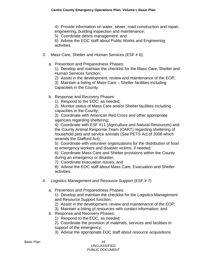4) Provide information on water, sewer, road construction and repair, engineering, building inspection and maintenance;

5) Coordinate debris management; and

6) Advise the EOC staff about Public Works and Engineering activities.

- 3. Mass Care, Shelter and Human Services (ESF # 6):
	- a. Prevention and Preparedness Phases:

1) Develop and maintain the checklist for the Mass Care, Shelter and Human Services function;

2) Assist in the development, review and maintenance of the EOP;

3) Maintain a listing of Mass Care – Shelter facilities including capacities in the County.

b. Response and Recovery Phases:

1) Respond to the EOC, as needed;

2) Monitor status of Mass Care and/or Shelter facilities including capacities in the County;

3) Coordinate with American Red Cross and other appropriate agencies regarding sheltering;

4) Coordinate with ESF #11 (Agriculture and Natural Resources) and the County Animal Response Team (CART) regarding sheltering of household pets and service animals (See PETS Act of 2006 which amends the Stafford Act);

5) Coordinate with volunteer organizations for the distribution of food to emergency workers and disaster victims, if needed;

6) Coordinate Mass Care and Shelter provisions within the County during an emergency or disaster;

7) Coordinate evacuation issues; and

8) Advise the EOC staff about Mass Care, Evacuation and Shelter activities.

- 4. Logistics Management and Resource Support (ESF # 7)
	- a. Prevention and Preparedness Phases:
		- 1) Develop and maintain the checklist for the Logistics Management and Resource Support function;
		- 2) Assist in the development, review and maintenance of the EOP;
		- 3) Maintain a listing of resources with contact information; and
	- b. Response and Recovery Phases:
		- 1) Respond to the EOC, as needed;
		- 2) Coordinate the provision of materials, services and facilities in support of the emergency;
		- 3) Advise the appropriate EOC staff about resource acquisitions.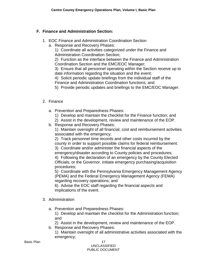## **F. Finance and Administration Section:**

- 1. EOC Finance and Administration Coordination Section
	- a. Response and Recovery Phases:

1) Coordinate all activities categorized under the Finance and Administration Coordination Section;

2) Function as the interface between the Finance and Administration Coordination Section and the EMC/EOC Manager;

3) Ensure that all personnel operating within the Section receive up to date information regarding the situation and the event;

4) Solicit periodic update briefings from the individual staff of the

Finance and Administration Coordination functions; and

5) Provide periodic updates and briefings to the EMC/EOC Manager.

## 2. Finance

- a. Prevention and Preparedness Phases:
	- 1) Develop and maintain the checklist for the Finance function; and
	- 2) Assist in the development, review and maintenance of the EOP.
- b. Response and Recovery Phases:

1) Maintain oversight of all financial, cost and reimbursement activities associated with the emergency;

2) Track personnel time records and other costs incurred by the county in order to support possible claims for federal reimbursement.

3) Coordinate and/or administer the financial aspects of the emergency/disaster according to County policies and procedures; 4) Following the declaration of an emergency by the County Elected

Officials, or the Governor, initiate emergency purchasing/acquisition procedures;

5) Coordinate with the Pennsylvania Emergency Management Agency (PEMA) and the Federal Emergency Management Agency (FEMA) regarding recovery operations; and

6) Advise the EOC staff regarding the financial aspects and implications of the event.

## 3. Administration

a. Prevention and Preparedness Phases:

1) Develop and maintain the checklist for the Administration function; and

2) Assist in the development, review and maintenance of the EOP.

b. Response and Recovery Phases:

1) Maintain oversight of all administrative activities associated with the emergency;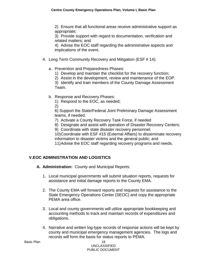2) Ensure that all functional areas receive administrative support as appropriate;

3) Provide support with regard to documentation, verification and related matters; and

4) Advise the EOC staff regarding the administrative aspects and implications of the event.

- 4. Long Term Community Recovery and Mitigation (ESF # 14):
	- a. Prevention and Preparedness Phases:
		- 1) Develop and maintain the checklist for the recovery function;
		- 2) Assist in the development, review and maintenance of the EOP.

3) Identify and train members of the County Damage Assessment Team.

- b. Response and Recovery Phases:
	- 1) Respond to the EOC, as needed;
	- 2)

6) Support the State/Federal Joint Preliminary Damage Assessment teams, if needed.

- 7) Activate a County Recovery Task Force, if needed
- 8) Designate and assist with operation of Disaster Recovery Centers;
- 9) Coordinate with state disaster recovery personnel;

10)Coordinate with ESF #15 (External Affairs) to disseminate recovery information to disaster victims and the general public; and

11)Advise the EOC staff regarding recovery programs and needs.

## **V.EOC ADMINISTRATION AND LOGISTICS**

- **A. Administration:** County and Municipal Reports:
	- 1. Local municipal governments will submit situation reports, requests for assistance and initial damage reports to the County EMA.
	- 2. The County EMA will forward reports and requests for assistance to the State Emergency Operations Center (SEOC) and copy the appropriate PEMA area office.
	- 3. Local and county governments will utilize appropriate bookkeeping and accounting methods to track and maintain records of expenditures and obligations.
	- 4. Narrative and written log-type records of response actions will be kept by county and municipal emergency management agencies. The logs and records will form the basis for status reports to PEMA.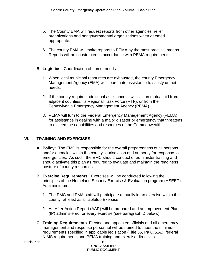- 5. The County EMA will request reports from other agencies, relief organizations and nongovernmental organizations when deemed appropriate.
- 6. The county EMA will make reports to PEMA by the most practical means. Reports will be constructed in accordance with PEMA requirements.
- **B. Logistics**: Coordination of unmet needs:
	- 1. When local municipal resources are exhausted, the county Emergency Management Agency (EMA) will coordinate assistance to satisfy unmet needs.
	- 2. If the county requires additional assistance, it will call on mutual aid from adjacent counties, its Regional Task Force (RTF), or from the Pennsylvania Emergency Management Agency (PEMA).
	- 3. PEMA will turn to the Federal Emergency Management Agency (FEMA) for assistance in dealing with a major disaster or emergency that threatens to exceed the capabilities and resources of the Commonwealth.

## **VI. TRAINING AND EXERCISES**

- **A. Policy:** The EMC is responsible for the overall preparedness of all persons and/or agencies within the county's jurisdiction and authority for response to emergencies. As such, the EMC should conduct or administer training and should activate this plan as required to evaluate and maintain the readiness posture of county resources.
- **B. Exercise Requirements:** Exercises will be conducted following the principles of the Homeland Security Exercise & Evaluation program (HSEEP). As a minimum:
	- 1. The EMC and EMA staff will participate annually in an exercise within the county, at least as a Tabletop Exercise;
	- 2. An After Action Report (AAR) will be prepared and an Improvement Plan (IP) administered for every exercise (see paragraph D below.)
- **C. Training Requirements** Elected and appointed officials and all emergency management and response personnel will be trained to meet the minimum requirements specified in applicable legislation (Title 35, Pa C.S.A.), federal NIMS requirements and PEMA training and exercise directives.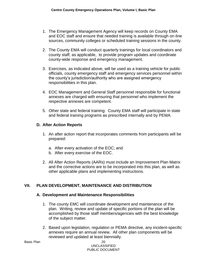- 1. The Emergency Management Agency will keep records on County EMA and EOC staff and ensure that needed training is available through on-line sources, community colleges or scheduled training sessions in the county.
- 2. The County EMA will conduct quarterly trainings for local coordinators and county staff, as applicable, to provide program updates and coordinate county-wide response and emergency management.
- 3. Exercises, as indicated above, will be used as a training vehicle for public officials, county emergency staff and emergency services personnel within the county's jurisdiction/authority who are assigned emergency responsibilities in this plan.
- 4. EOC Management and General Staff personnel responsible for functional annexes are charged with ensuring that personnel who implement the respective annexes are competent.
- 5. Other state and federal training: County EMA staff will participate in state and federal training programs as prescribed internally and by PEMA.

## **D. After Action Reports**

- 1. An after action report that incorporates comments from participants will be prepared:
	- a. After every activation of the EOC; and
	- b. After every exercise of the EOC.
- 2. All After Action Reports (AARs) must include an Improvement Plan Matrix and the corrective actions are to be incorporated into this plan, as well as other applicable plans and implementing instructions.

## **VII. PLAN DEVELOPMENT, MAINTENANCE AND DISTRIBUTION**

#### **A. Development and Maintenance Responsibilities**

- 1. The county EMC will coordinate development and maintenance of the plan. Writing, review and update of specific portions of the plan will be accomplished by those staff members/agencies with the best knowledge of the subject matter.
- 2. Based upon legislation, regulation or PEMA directive, any incident-specific annexes require an annual review. All other plan components will be reviewed and updated at least biennially.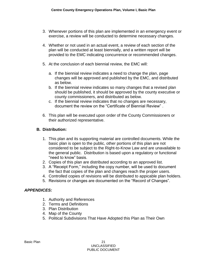- 3. Whenever portions of this plan are implemented in an emergency event or exercise, a review will be conducted to determine necessary changes.
- 4. Whether or not used in an actual event, a review of each section of the plan will be conducted at least biennially, and a written report will be provided to the EMC indicating concurrence or recommended changes.
- 5. At the conclusion of each biennial review, the EMC will:
	- a. If the biennial review indicates a need to change the plan, page changes will be approved and published by the EMC, and distributed as below.
	- b. If the biennial review indicates so many changes that a revised plan should be published, it should be approved by the county executive or county commissioners, and distributed as below.
	- c. If the biennial review indicates that no changes are necessary, document the review on the "Certificate of Biennial Review" .
- 6. This plan will be executed upon order of the County Commissioners or their authorized representative.

## **B. Distribution:**

- 1. This plan and its supporting material are controlled documents. While the basic plan is open to the public, other portions of this plan are not considered to be subject to the Right-to-Know Law and are unavailable to the general public. Distribution is based upon a regulatory or functional "need to know" basis.
- 2. Copies of this plan are distributed according to an approved list.
- 3. A "Receipt Form," including the copy number, will be used to document the fact that copies of the plan and changes reach the proper users.
- 4. Controlled copies of revisions will be distributed to appicable plan holders.
- 5. Revisions or changes are documented on the "Record of Changes".

## *APPENDICES:*

- 1. Authority and References
- 2. Terms and Definitions
- 3. Plan Distribution
- 4. Map of the County
- 5. Political Subdivisions That Have Adopted this Plan as Their Own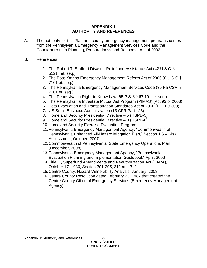#### **APPENDIX 1 AUTHORITY AND REFERENCES**

- A. The authority for this Plan and county emergency management programs comes from the Pennsylvania Emergency Management Services Code and the Counterterrorism Planning, Preparedness and Response Act of 2002.
- B. References
	- 1. The Robert T. Stafford Disaster Relief and Assistance Act (42 U.S.C. § 5121 et. seq.)
	- 2. The Post-Katrina Emergency Management Reform Act of 2006 (6 U.S.C § 7101 et. seq.)
	- 3. The Pennsylvania Emergency Management Services Code (35 Pa CSA § 7101 et. seq.)
	- 4. The Pennsylvania Right-to-Know Law (65 P.S. §§ 67.101, et seq.)
	- 5. The Pennsylvania Intrastate Mutual Aid Program (PIMAS) (Act 93 of 2008)
	- 6. Pets Evacuation and Transportation Standards Act of 2006 (PL 109-308)
	- 7. US Small Business Administration (13 CFR Part 123)
	- 8. Homeland Security Presidential Directive 5 (HSPD-5)
	- 9. Homeland Security Presidential Directive 8 (HSPD-8)
	- 10.Homeland Security Exercise Evaluation Program
	- 11.Pennsylvania Emergency Management Agency, "Commonwealth of Pennsylvania Enhanced All-Hazard Mitigation Plan," Section 1.3 – Risk Assessment, October, 2007
	- 12.Commonwealth of Pennsylvania, State Emergency Operations Plan (December, 2008)
	- 13.Pennsylvania Emergency Management Agency, "Pennsylvania Evacuation Planning and Implementation Guidebook" April, 2006
	- 14.Title III, Superfund Amendments and Reauthorization Act (SARA), October 17, 1986, Section 301-305, 311 and 312.
	- 15.Centre County, Hazard Vulnerability Analysis, January, 2008
	- 16.Centre County Resolution dated February 23, 1982 that created the Centre County Office of Emergency Services (Emergency Management Agency).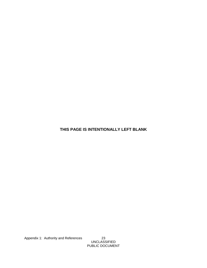**THIS PAGE IS INTENTIONALLY LEFT BLANK**

Appendix 1: Authority and References 23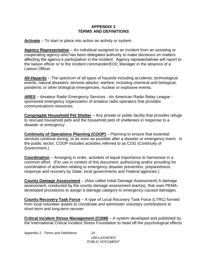#### **APPENDIX 2 TERMS AND DEFINITIONS**

**Activate** – To start or place into action an activity or system.

**Agency Representative** – An individual assigned to an incident from an assisting or cooperating agency who has been delegated authority to make decisions on matters affecting the agency's participation in the incident. Agency representatives will report to the liaison officer or to the incident commander/EOC Manager in the absence of a Liaison Officer.

**All-Hazards** – The spectrum of all types of hazards including accidents; technological events; natural disasters; terrorist attacks; warfare, including chemical and biological; pandemic or other biological emergencies, nuclear or explosive events.

**ARES** – Amateur Radio Emergency Services - An American Radio Relay League sponsored emergency organization of amateur radio operators that provides communications resources.

**Congregate Household Pet Shelter** – Any private or public facility that provides refuge to rescued household pets and the household pets of shelterees in response to a disaster or emergency.

**Continuity of Operations Planning (COOP)** – Planning to ensure that essential services continue during, or as soon as possible after a disaster or emergency event. In the public sector, COOP includes activities referred to as COG (Continuity of Government.)

**Coordination** – Arranging in order, activities of equal importance to harmonize in a common effort. (For use in context of this document: authorizing and/or providing for coordination of activities relating to emergency disaster prevention, preparedness, response and recovery by State, local governments and Federal agencies.)

**County Damage Assessment** – (Also called Initial Damage Assessment) A damage assessment, conducted by the county damage assessment team(s), that uses PEMAdeveloped procedures to assign a damage category to emergency-caused damages.

**County Recovery Task Force** – A type of Local Recovery Task Force (LTRC) formed from local volunteer assets to coordinate and administer voluntary contributions to short-term and long-term recover

**Critical Incident Stress Management (CISM)** – A system developed and published by the International Critical Incident Stress Foundation to head off the psychological effects

Appendix 2: Terms and Definitions 24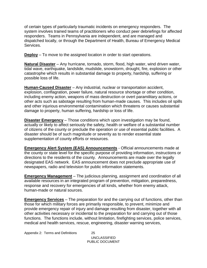of certain types of particularly traumatic incidents on emergency responders. The system involves trained teams of practitioners who conduct peer debriefings for affected responders. Teams in Pennsylvania are independent, and are managed and dispatched locally, or through the Department of Health, Bureau of Emergency Medical Services.

**Deploy** – To move to the assigned location in order to start operations.

**Natural Disaster** – Any hurricane, tornado, storm, flood, high water, wind driven water, tidal wave, earthquake, landslide, mudslide, snowstorm, drought, fire, explosion or other catastrophe which results in substantial damage to property, hardship, suffering or possible loss of life.

**Human-Caused Disaster** – Any industrial, nuclear or transportation accident, explosion, conflagration, power failure, natural resource shortage or other condition, including enemy action, weapons of mass destruction or overt paramilitary actions, or other acts such as sabotage resulting from human-made causes. This includes oil spills and other injurious environmental contamination which threatens or causes substantial damage to property, human suffering, hardship or loss of life.

**Disaster Emergency** – Those conditions which upon investigation may be found, actually or likely to affect seriously the safety, health or welfare of a substantial number of citizens of the county or preclude the operation or use of essential public facilities. A disaster should be of such magnitude or severity as to render essential state supplementation of county efforts or resources.

**Emergency Alert System (EAS) Announcements** - Official announcements made at the county or state level for the specific purpose of providing information, instructions or directions to the residents of the county. Announcements are made over the legally designated EAS network. EAS announcement does not preclude appropriate use of newspapers, radio and television for public information statements.

**Emergency Management** – The judicious planning, assignment and coordination of all available resources in an integrated program of prevention, mitigation, preparedness, response and recovery for emergencies of all kinds, whether from enemy attack, human-made or natural sources.

**Emergency Services** – The preparation for and the carrying out of functions, other than those for which military forces are primarily responsible, to prevent, minimize and provide emergency repair of injury and damage resulting from disaster, together with all other activities necessary or incidental to the preparation for and carrying out of those functions. The functions include, without limitation, firefighting services, police services, medical and health services, rescue, engineering, disaster warning services,

Appendix 2: Terms and Definitions 25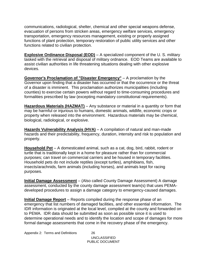communications, radiological, shelter, chemical and other special weapons defense, evacuation of persons from stricken areas, emergency welfare services, emergency transportation, emergency resources management, existing or properly assigned functions of plant protection, temporary restoration of public utility services and other functions related to civilian protection.

**Explosive Ordinance Disposal (EOD)** – A specialized component of the U. S. military tasked with the retrieval and disposal of military ordnance. EOD Teams are available to assist civilian authorities in life threatening situations dealing with other explosive devices.

**Governor's Proclamation of "Disaster Emergency"** – A proclamation by the Governor upon finding that a disaster has occurred or that the occurrence or the threat of a disaster is imminent. This proclamation authorizes municipalities (including counties) to exercise certain powers without regard to time-consuming procedures and formalities prescribed by law (excepting mandatory constitutional requirements).

**Hazardous Materials (HAZMAT)** – Any substance or material in a quantity or form that may be harmful or injurious to humans, domestic animals, wildlife, economic crops or property when released into the environment. Hazardous materials may be chemical, biological, radiological, or explosive.

**Hazards Vulnerability Analysis (HVA)** – A compilation of natural and man-made hazards and their predictability, frequency, duration, intensity and risk to population and property.

**Household Pet** – A domesticated animal, such as a cat, dog, bird, rabbit, rodent or turtle that is traditionally kept in a home for pleasure rather than for commercial purposes; can travel on commercial carriers and be housed in temporary facilities. Household pets do not include reptiles (except turtles), amphibians, fish, insects/arachnids, farm animals (including horses), and animals kept for racing purposes.

**Initial Damage Assessment** – (Also called County Damage Assessment) A damage assessment, conducted by the county damage assessment team(s) that uses PEMAdeveloped procedures to assign a damage category to emergency-caused damages.

**Initial Damage Report** – Reports compiled during the response phase of an emergency that list numbers of damaged facilities, and other essential information. The IDR information is originated at the local level, compiled at the county and forwarded on to PEMA. IDR data should be submitted as soon as possible since it is used to determine operational needs and to identify the location and scope of damages for more formal damage assessments that come in the recovery phase of the emergency.

Appendix 2: Terms and Definitions 26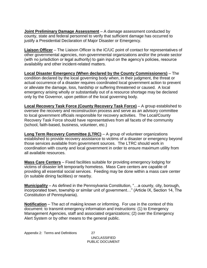**Joint Preliminary Damage Assessment** – A damage assessment conducted by county, state and federal personnel to verify that sufficient damage has occurred to justify a Presidential Declaration of Major Disaster or Emergency.

**Liaison Officer** – The Liaison Officer is the IC/UC point of contact for representatives of other governmental agencies, non-governmental organizations and/or the private sector (with no jurisdiction or legal authority) to gain input on the agency's policies, resource availability and other incident-related matters.

**Local Disaster Emergency (When declared by the County Commissioners)** – The condition declared by the local governing body when, in their judgment, the threat or actual occurrence of a disaster requires coordinated local government action to prevent or alleviate the damage, loss, hardship or suffering threatened or caused. A local emergency arising wholly or substantially out of a resource shortage may be declared only by the Governor, upon petition of the local governing body.

**Local Recovery Task Force (County Recovery Task Force)** – A group established to oversee the recovery and reconstruction process and serve as an advisory committee to local government officials responsible for recovery activities. The Local/County Recovery Task Force should have representatives from all facets of the community (school, faith-based, business, volunteer, etc.)

**Long Term Recovery Committee (LTRC)** – A group of volunteer organizations established to provide recovery assistance to victims of a disaster or emergency beyond those services available from government sources. The LTRC should work in coordination with county and local government in order to ensure maximum utility from all available resources.

**Mass Care Centers** – Fixed facilities suitable for providing emergency lodging for victims of disaster left temporarily homeless. Mass Care centers are capable of providing all essential social services. Feeding may be done within a mass care center (in suitable dining facilities) or nearby.

**Municipality** – As defined in the Pennsylvania Constitution, "…a county, city, borough, incorporated town, township or similar unit of government…" (Article IX, Section 14, The Constitution of Pennsylvania).

**Notification** – The act of making known or informing. For use in the context of this document: to transmit emergency information and instructions: (1) to Emergency Management Agencies, staff and associated organizations; (2) over the Emergency Alert System or by other means to the general public.

Appendix 2: Terms and Definitions 27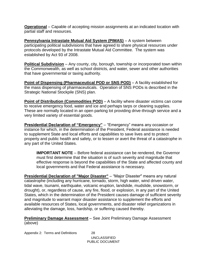**Operational** – Capable of accepting mission assignments at an indicated location with partial staff and resources.

**Pennsylvania Intrastate Mutual Aid System (PIMAS)** – A system between participating political subdivisions that have agreed to share physical resources under protocols developed by the Intrastate Mutual Aid Committee. The system was established by Act 93 of 2008.

**Political Subdivision** – Any county, city, borough, township or incorporated town within the Commonwealth, as well as school districts, and water, sewer and other authorities that have governmental or taxing authority.

**Point of Dispensing (Pharmaceutical POD or SNS POD)** – A facility established for the mass dispensing of pharmaceuticals. Operation of SNS PODs is described in the Strategic National Stockpile (SNS) plan.

**Point of Distribution (Commodities POD)** – A facility where disaster victims can come to receive emergency food, water and ice and perhaps tarps or cleaning supplies. These are normally located in an open parking lot providing drive-through service and a very limited variety of essential goods.

**Presidential Declaration of "Emergency"** – "Emergency" means any occasion or instance for which, in the determination of the President, Federal assistance is needed to supplement State and local efforts and capabilities to save lives and to protect property and public health and safety, or to lessen or avert the threat of a catastrophe in any part of the United States.

**IMPORTANT NOTE** – Before federal assistance can be rendered, the Governor must first determine that the situation is of such severity and magnitude that effective response is beyond the capabilities of the State and affected county and local governments and that Federal assistance is necessary.

**Presidential Declaration of "Major Disaster"** – "Major Disaster" means any natural catastrophe (including any hurricane, tornado, storm, high water, wind driven water, tidal wave, tsunami, earthquake, volcanic eruption, landslide, mudslide, snowstorm, or drought), or, regardless of cause, any fire, flood, or explosion, in any part of the United States, which in the determination of the President causes damage of sufficient severity and magnitude to warrant major disaster assistance to supplement the efforts and available resources of States, local governments, and disaster relief organizations in alleviating the damage, loss, hardship, or suffering caused thereby.

#### **Preliminary Damage Assessment** – See Joint Preliminary Damage Assessment (above)

Appendix 2: Terms and Definitions 28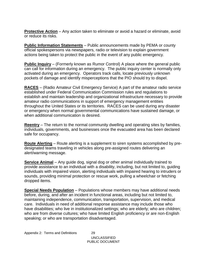**Protective Action** – Any action taken to eliminate or avoid a hazard or eliminate, avoid or reduce its risks.

**Public Information Statements** – Public announcements made by PEMA or county official spokespersons via newspapers, radio or television to explain government actions being taken to protect the public in the event of any public emergency.

**Public Inquiry** – (Formerly known as Rumor Control) A place where the general public can call for information during an emergency. The public inquiry center is normally only activated during an emergency. Operators track calls, locate previously unknown pockets of damage and identify misperceptions that the PIO should try to dispel.

**RACES** – (Radio Amateur Civil Emergency Service) A part of the amateur radio service established under Federal Communication Commission rules and regulations to establish and maintain leadership and organizational infrastructure necessary to provide amateur radio communications in support of emergency management entities throughout the United States or its territories. RACES can be used during any disaster or emergency when normal governmental communications have sustained damage, or when additional communication is desired.

**Reentry** – The return to the normal community dwelling and operating sites by families, individuals, governments, and businesses once the evacuated area has been declared safe for occupancy.

**Route Alerting** – Route alerting is a supplement to siren systems accomplished by predesignated teams traveling in vehicles along pre-assigned routes delivering an alert/warning message.

**Service Animal** – Any guide dog, signal dog or other animal individually trained to provide assistance to an individual with a disability, including, but not limited to, guiding individuals with impaired vision, alerting individuals with impaired hearing to intruders or sounds, providing minimal protection or rescue work, pulling a wheelchair or fetching dropped items.

**Special Needs Population** – Populations whose members may have additional needs before, during, and after an incident in functional areas, including but not limited to, maintaining independence, communication, transportation, supervision, and medical care. Individuals in need of additional response assistance may include those who have disabilities; who live in institutionalized settings; who are elderly; who are children; who are from diverse cultures; who have limited English proficiency or are non-English speaking; or who are transportation disadvantaged.

Appendix 2: Terms and Definitions 29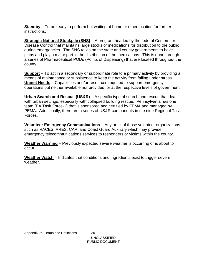**Standby** – To be ready to perform but waiting at home or other location for further instructions.

**Strategic National Stockpile (SNS)** – A program headed by the federal Centers for Disease Control that maintains large stocks of medications for distribution to the public during emergencies. The SNS relies on the state and county governments to have plans and play a major part in the distribution of the medications. This is done through a series of Pharmaceutical PODs (Points of Dispensing) that are located throughout the county.

**Support** – To act in a secondary or subordinate role to a primary activity by providing a means of maintenance or subsistence to keep the activity from failing under stress. **Unmet Needs** – Capabilities and/or resources required to support emergency operations but neither available nor provided for at the respective levels of government.

**Urban Search and Rescue (US&R)** – A specific type of search and rescue that deal with urban settings, especially with collapsed building rescue. Pennsylvania has one team (PA Task Force-1) that is sponsored and certified by FEMA and managed by PEMA. Additionally, there are a series of US&R components in the nine Regional Task Forces.

**Volunteer Emergency Communications** – Any or all of those volunteer organizations such as RACES, ARES, CAP, and Coast Guard Auxiliary which may provide emergency telecommunications services to responders or victims within the county.

**Weather Warning** – Previously expected severe weather is occurring or is about to occur.

**Weather Watch** – Indicates that conditions and ingredients exist to trigger severe weather.

Appendix 2: Terms and Definitions 30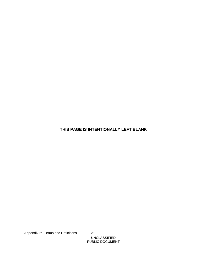**THIS PAGE IS INTENTIONALLY LEFT BLANK**

Appendix 2: Terms and Definitions 31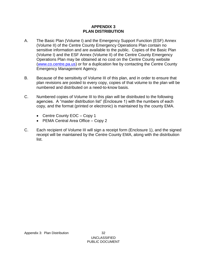#### **APPENDIX 3 PLAN DISTRIBUTION**

- A. The Basic Plan (Volume I) and the Emergency Support Function (ESF) Annex (Volume II) of the Centre County Emergency Operations Plan contain no sensitive information and are available to the public. Copies of the Basic Plan (Volume I) and the ESF Annex (Volume II) of the Centre County Emergency Operations Plan may be obtained at no cost on the Centre County website [\(www.co.centre.pa.us\)](http://www.co.centre.pa.us/) or for a duplication fee by contacting the Centre County Emergency Management Agency.
- B. Because of the sensitivity of Volume III of this plan, and in order to ensure that plan revisions are posted to every copy, copies of that volume to the plan will be numbered and distributed on a need-to-know basis.
- C. Numbered copies of Volume III to this plan will be distributed to the following agencies. A "master distribution list" (Enclosure 1) with the numbers of each copy, and the format (printed or electronic) is maintained by the county EMA.
	- Centre County EOC Copy 1
	- PEMA Central Area Office Copy 2
- C. Each recipient of Volume III will sign a receipt form (Enclosure 1), and the signed receipt will be maintained by the Centre County EMA, along with the distribution list.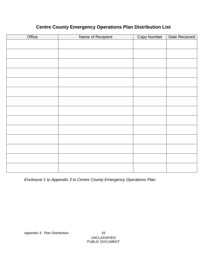# **Centre County Emergency Operations Plan Distribution List**

| Office | Name of Recipient | Copy Number | Date Received |
|--------|-------------------|-------------|---------------|
|        |                   |             |               |
|        |                   |             |               |
|        |                   |             |               |
|        |                   |             |               |
|        |                   |             |               |
|        |                   |             |               |
|        |                   |             |               |
|        |                   |             |               |
|        |                   |             |               |
|        |                   |             |               |
|        |                   |             |               |
|        |                   |             |               |
|        |                   |             |               |
|        |                   |             |               |

*Enclosure 1 to Appendix 3 to Centre County Emergency Operations Plan*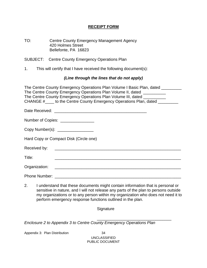#### **RECEIPT FORM**

TO: Centre County Emergency Management Agency 420 Holmes Street Bellefonte, PA 16823

SUBJECT: Centre County Emergency Operations Plan

1. This will certify that I have received the following document(s):

#### *(Line through the lines that do not apply)*

| The Centre County Emergency Operations Plan Volume I Basic Plan, dated<br>The Centre County Emergency Operations Plan Volume II, dated _________<br>The Centre County Emergency Operations Plan Volume III, dated _________<br>CHANGE #____ to the Centre County Emergency Operations Plan, dated ________ |  |  |
|------------------------------------------------------------------------------------------------------------------------------------------------------------------------------------------------------------------------------------------------------------------------------------------------------------|--|--|
|                                                                                                                                                                                                                                                                                                            |  |  |
| Number of Copies: ________________                                                                                                                                                                                                                                                                         |  |  |
| Copy Number(s): _________________                                                                                                                                                                                                                                                                          |  |  |
| Hard Copy or Compact Disk (Circle one)                                                                                                                                                                                                                                                                     |  |  |
|                                                                                                                                                                                                                                                                                                            |  |  |
| Title:<br><u> 1989 - Johann Stoff, amerikansk politiker (* 1908)</u>                                                                                                                                                                                                                                       |  |  |
|                                                                                                                                                                                                                                                                                                            |  |  |
|                                                                                                                                                                                                                                                                                                            |  |  |

2. I understand that these documents might contain information that is personal or sensitive in nature, and I will not release any parts of the plan to persons outside my organizations or to any person within my organization who does not need it to perform emergency response functions outlined in the plan.

**Signature** 

\_\_\_\_\_\_\_\_\_\_\_\_\_\_\_\_\_\_\_\_\_\_\_\_\_\_\_\_\_\_\_\_\_

*Enclosure 2 to Appendix 3 to Centre County Emergency Operations Plan*

Appendix 3: Plan Distribution 34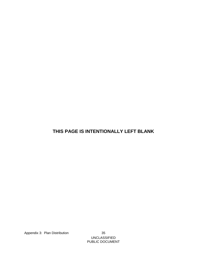## **THIS PAGE IS INTENTIONALLY LEFT BLANK**

Appendix 3: Plan Distribution 35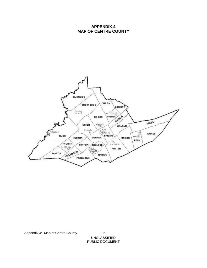#### **APPENDIX 4 MAP OF CENTRE COUNTY**



Appendix 4: Map of Centre County 36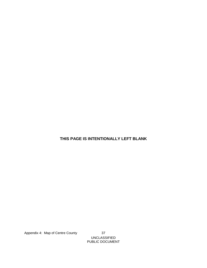**THIS PAGE IS INTENTIONALLY LEFT BLANK**

Appendix 4: Map of Centre County 37